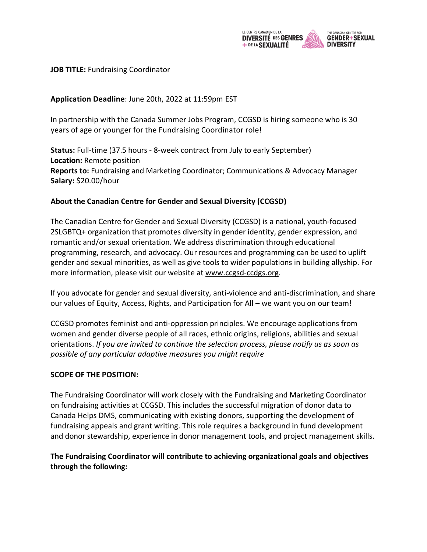

### **JOB TITLE:** Fundraising Coordinator

### **Application Deadline**: June 20th, 2022 at 11:59pm EST

In partnership with the Canada Summer Jobs Program, CCGSD is hiring someone who is 30 years of age or younger for the Fundraising Coordinator role!

**Status:** Full-time (37.5 hours - 8-week contract from July to early September) **Location:** Remote position **Reports to:** Fundraising and Marketing Coordinator; Communications & Advocacy Manager **Salary:** \$20.00/hour

### **About the Canadian Centre for Gender and Sexual Diversity (CCGSD)**

The Canadian Centre for Gender and Sexual Diversity (CCGSD) is a national, youth-focused 2SLGBTQ+ organization that promotes diversity in gender identity, gender expression, and romantic and/or sexual orientation. We address discrimination through educational programming, research, and advocacy. Our resources and programming can be used to uplift gender and sexual minorities, as well as give tools to wider populations in building allyship. For more information, please visit our website at www.ccgsd-ccdgs.org.

If you advocate for gender and sexual diversity, anti-violence and anti-discrimination, and share our values of Equity, Access, Rights, and Participation for All – we want you on our team!

CCGSD promotes feminist and anti-oppression principles. We encourage applications from women and gender diverse people of all races, ethnic origins, religions, abilities and sexual orientations. *If you are invited to continue the selection process, please notify us as soon as possible of any particular adaptive measures you might require*

### **SCOPE OF THE POSITION:**

The Fundraising Coordinator will work closely with the Fundraising and Marketing Coordinator on fundraising activities at CCGSD. This includes the successful migration of donor data to Canada Helps DMS, communicating with existing donors, supporting the development of fundraising appeals and grant writing. This role requires a background in fund development and donor stewardship, experience in donor management tools, and project management skills.

### **The Fundraising Coordinator will contribute to achieving organizational goals and objectives through the following:**